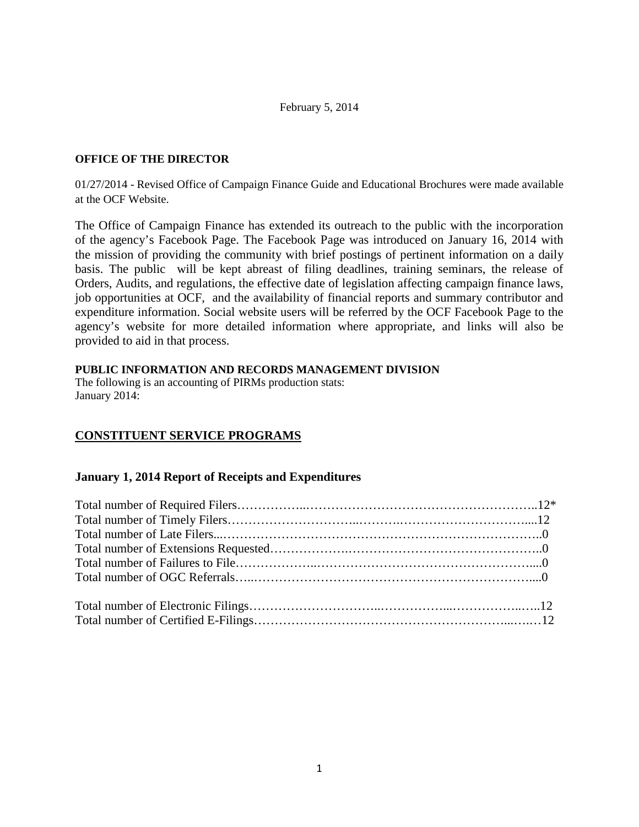#### February 5, 2014

#### **OFFICE OF THE DIRECTOR**

01/27/2014 - Revised Office of Campaign Finance Guide and Educational Brochures were made available at the OCF Website.

The Office of Campaign Finance has extended its outreach to the public with the incorporation of the agency's Facebook Page. The Facebook Page was introduced on January 16, 2014 with the mission of providing the community with brief postings of pertinent information on a daily basis. The public will be kept abreast of filing deadlines, training seminars, the release of Orders, Audits, and regulations, the effective date of legislation affecting campaign finance laws, job opportunities at OCF, and the availability of financial reports and summary contributor and expenditure information. Social website users will be referred by the OCF Facebook Page to the agency's website for more detailed information where appropriate, and links will also be provided to aid in that process.

#### **PUBLIC INFORMATION AND RECORDS MANAGEMENT DIVISION**

The following is an accounting of PIRMs production stats: January 2014:

# **CONSTITUENT SERVICE PROGRAMS**

### **January 1, 2014 Report of Receipts and Expenditures**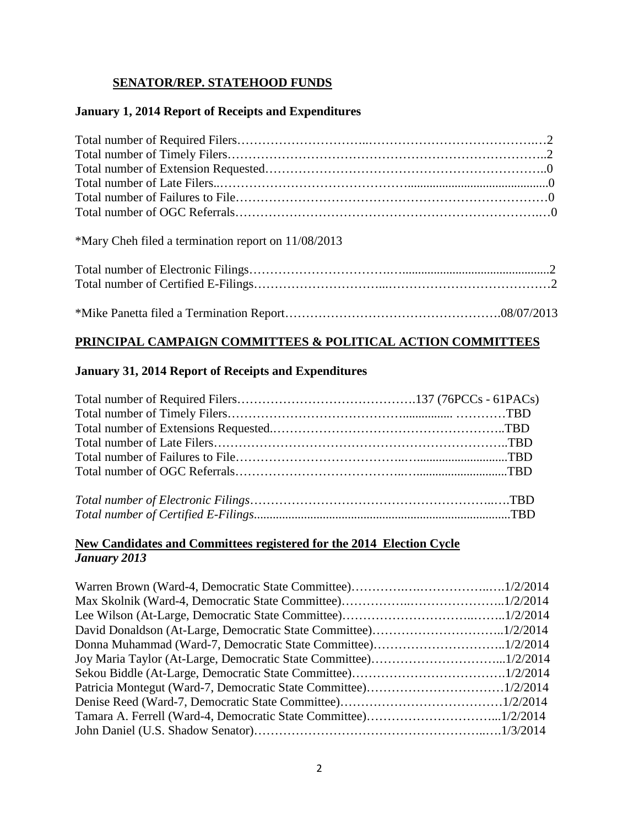# **SENATOR/REP. STATEHOOD FUNDS**

### **January 1, 2014 Report of Receipts and Expenditures**

### \*Mary Cheh filed a termination report on 11/08/2013

# **PRINCIPAL CAMPAIGN COMMITTEES & POLITICAL ACTION COMMITTEES**

### **January 31, 2014 Report of Receipts and Expenditures**

### **New Candidates and Committees registered for the 2014 Election Cycle** *January 2013*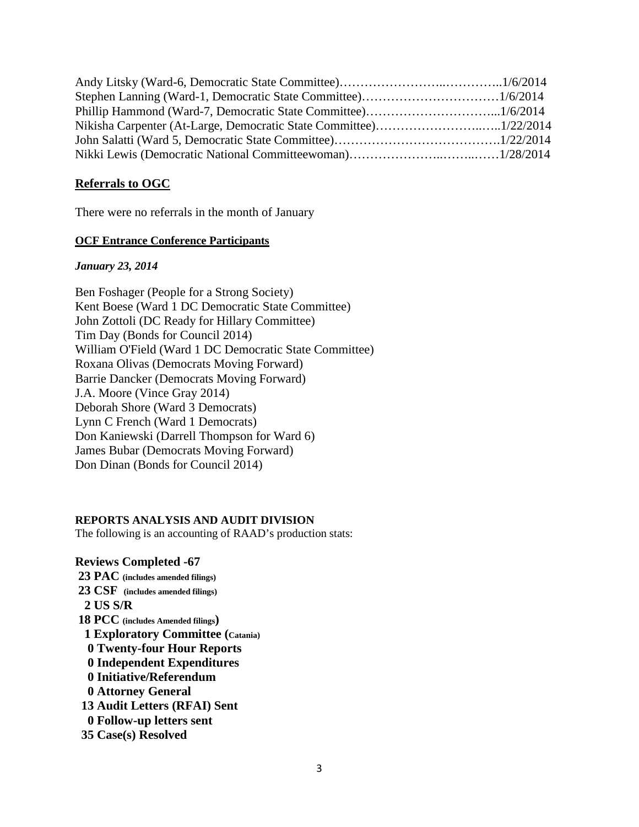### **Referrals to OGC**

There were no referrals in the month of January

#### **OCF Entrance Conference Participants**

#### *January 23, 2014*

Ben Foshager (People for a Strong Society) Kent Boese (Ward 1 DC Democratic State Committee) John Zottoli (DC Ready for Hillary Committee) Tim Day (Bonds for Council 2014) William O'Field (Ward 1 DC Democratic State Committee) Roxana Olivas (Democrats Moving Forward) Barrie Dancker (Democrats Moving Forward) J.A. Moore (Vince Gray 2014) Deborah Shore (Ward 3 Democrats) Lynn C French (Ward 1 Democrats) Don Kaniewski (Darrell Thompson for Ward 6) James Bubar (Democrats Moving Forward) Don Dinan (Bonds for Council 2014)

### **REPORTS ANALYSIS AND AUDIT DIVISION**

The following is an accounting of RAAD's production stats:

**Reviews Completed -67 23 PAC (includes amended filings) 23 CSF (includes amended filings) 2 US S/R 18 PCC (includes Amended filings) 1 Exploratory Committee (Catania) 0 Twenty-four Hour Reports 0 Independent Expenditures 0 Initiative/Referendum 0 Attorney General 13 Audit Letters (RFAI) Sent 0 Follow-up letters sent 35 Case(s) Resolved**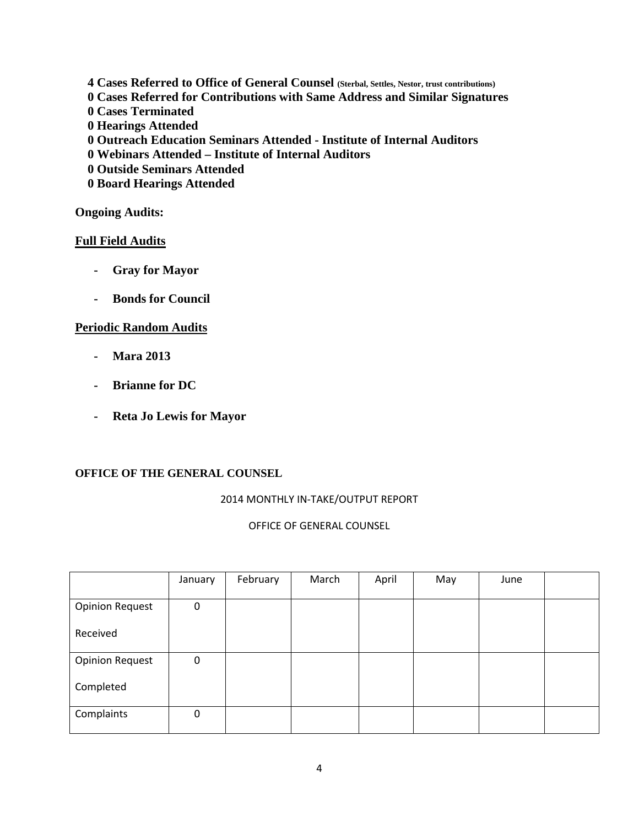- **4 Cases Referred to Office of General Counsel (Sterbal, Settles, Nestor, trust contributions)**
- **0 Cases Referred for Contributions with Same Address and Similar Signatures**
- **0 Cases Terminated**
- **0 Hearings Attended**
- **0 Outreach Education Seminars Attended - Institute of Internal Auditors**
- **0 Webinars Attended – Institute of Internal Auditors**
- **0 Outside Seminars Attended**
- **0 Board Hearings Attended**

### **Ongoing Audits:**

### **Full Field Audits**

- **- Gray for Mayor**
- **- Bonds for Council**

### **Periodic Random Audits**

- **- Mara 2013**
- **- Brianne for DC**
- **- Reta Jo Lewis for Mayor**

### **OFFICE OF THE GENERAL COUNSEL**

### 2014 MONTHLY IN-TAKE/OUTPUT REPORT

### OFFICE OF GENERAL COUNSEL

|                        | January  | February | March | April | May | June |  |
|------------------------|----------|----------|-------|-------|-----|------|--|
|                        |          |          |       |       |     |      |  |
| <b>Opinion Request</b> | 0        |          |       |       |     |      |  |
| Received               |          |          |       |       |     |      |  |
| <b>Opinion Request</b> | 0        |          |       |       |     |      |  |
| Completed              |          |          |       |       |     |      |  |
| Complaints             | $\Omega$ |          |       |       |     |      |  |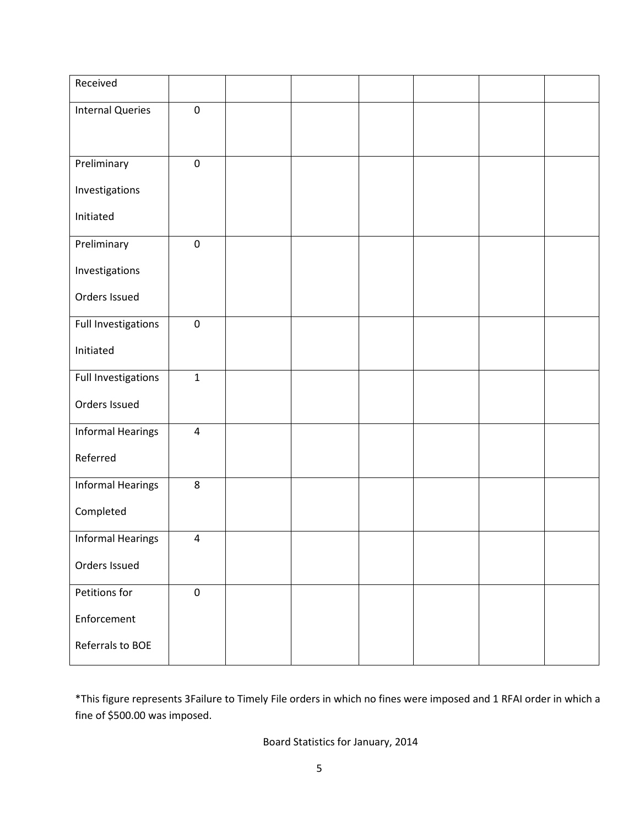| Received                 |                  |  |  |  |
|--------------------------|------------------|--|--|--|
| <b>Internal Queries</b>  | $\boldsymbol{0}$ |  |  |  |
|                          |                  |  |  |  |
|                          |                  |  |  |  |
| Preliminary              | $\pmb{0}$        |  |  |  |
| Investigations           |                  |  |  |  |
| Initiated                |                  |  |  |  |
|                          |                  |  |  |  |
| Preliminary              | $\boldsymbol{0}$ |  |  |  |
| Investigations           |                  |  |  |  |
| Orders Issued            |                  |  |  |  |
|                          |                  |  |  |  |
| Full Investigations      | $\pmb{0}$        |  |  |  |
| Initiated                |                  |  |  |  |
|                          |                  |  |  |  |
| Full Investigations      | $\mathbf{1}$     |  |  |  |
| Orders Issued            |                  |  |  |  |
| <b>Informal Hearings</b> | $\pmb{4}$        |  |  |  |
| Referred                 |                  |  |  |  |
|                          |                  |  |  |  |
| <b>Informal Hearings</b> | $\,8\,$          |  |  |  |
| Completed                |                  |  |  |  |
| <b>Informal Hearings</b> | $\overline{4}$   |  |  |  |
|                          |                  |  |  |  |
| Orders Issued            |                  |  |  |  |
| Petitions for            | $\pmb{0}$        |  |  |  |
| Enforcement              |                  |  |  |  |
|                          |                  |  |  |  |
| Referrals to BOE         |                  |  |  |  |
|                          |                  |  |  |  |

\*This figure represents 3Failure to Timely File orders in which no fines were imposed and 1 RFAI order in which a fine of \$500.00 was imposed.

# Board Statistics for January, 2014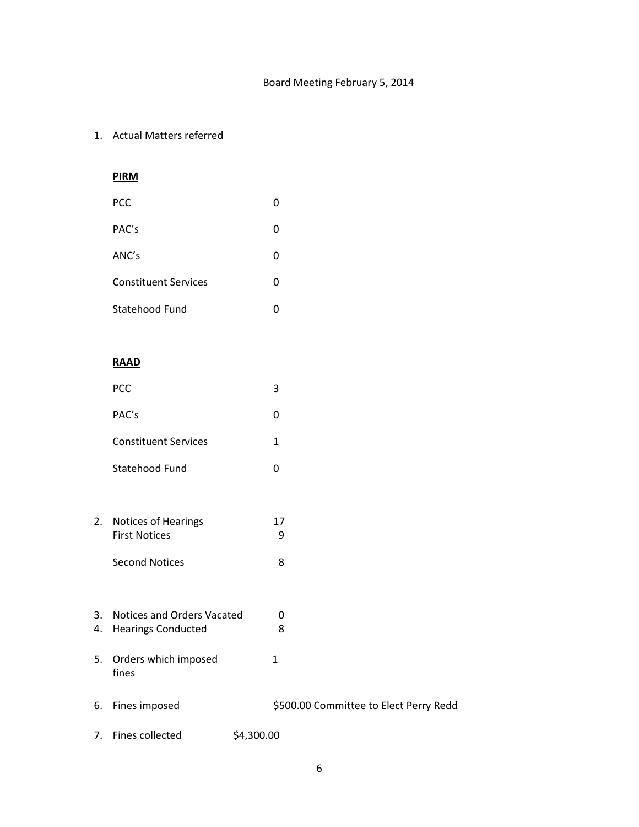### 1. Actual Matters referred

# **PIRM**

| PCC                         | O |
|-----------------------------|---|
| PAC's                       | 0 |
| ANC's                       | 0 |
| <b>Constituent Services</b> | 0 |
| Statehood Fund              | O |

## **RAAD**

|    | PCC                                         |            | 3                                      |
|----|---------------------------------------------|------------|----------------------------------------|
|    | PAC's                                       |            | 0                                      |
|    | <b>Constituent Services</b>                 |            | $\mathbf{1}$                           |
|    | Statehood Fund                              |            | 0                                      |
|    |                                             |            |                                        |
| 2. | Notices of Hearings<br><b>First Notices</b> |            | 17<br>9                                |
|    | <b>Second Notices</b>                       |            | 8                                      |
|    |                                             |            |                                        |
| 3. | Notices and Orders Vacated                  |            | 0                                      |
| 4. | <b>Hearings Conducted</b>                   |            | 8                                      |
|    | 5. Orders which imposed<br>fines            |            | $\mathbf{1}$                           |
| 6. | Fines imposed                               |            | \$500.00 Committee to Elect Perry Redd |
| 7. | Fines collected                             | \$4,300.00 |                                        |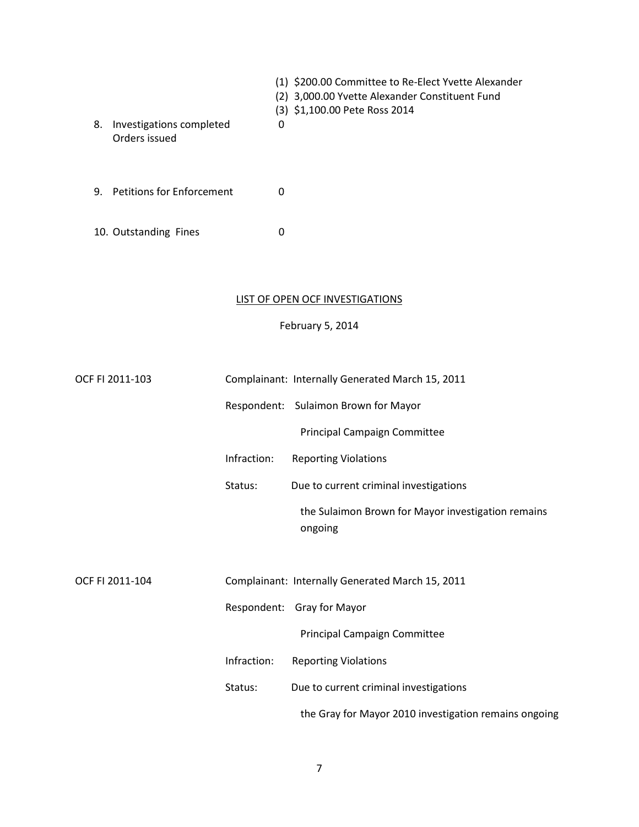| 8. | Investigations completed     | 0 | (1) \$200.00 Committee to Re-Elect Yvette Alexander<br>(2) 3,000.00 Yvette Alexander Constituent Fund<br>(3) \$1,100.00 Pete Ross 2014 |
|----|------------------------------|---|----------------------------------------------------------------------------------------------------------------------------------------|
|    | Orders issued                |   |                                                                                                                                        |
|    | 9. Petitions for Enforcement | 0 |                                                                                                                                        |
|    | 10. Outstanding Fines        | 0 |                                                                                                                                        |

### LIST OF OPEN OCF INVESTIGATIONS

February 5, 2014

| OCF FI 2011-103 |             | Complainant: Internally Generated March 15, 2011              |
|-----------------|-------------|---------------------------------------------------------------|
|                 |             | Respondent: Sulaimon Brown for Mayor                          |
|                 |             | Principal Campaign Committee                                  |
|                 | Infraction: | <b>Reporting Violations</b>                                   |
|                 | Status:     | Due to current criminal investigations                        |
|                 |             | the Sulaimon Brown for Mayor investigation remains<br>ongoing |
| OCF FI 2011-104 |             | Complainant: Internally Generated March 15, 2011              |
|                 |             | Respondent: Gray for Mayor                                    |
|                 |             | Principal Campaign Committee                                  |
|                 | Infraction: | <b>Reporting Violations</b>                                   |
|                 | Status:     | Due to current criminal investigations                        |
|                 |             | the Gray for Mayor 2010 investigation remains ongoing         |